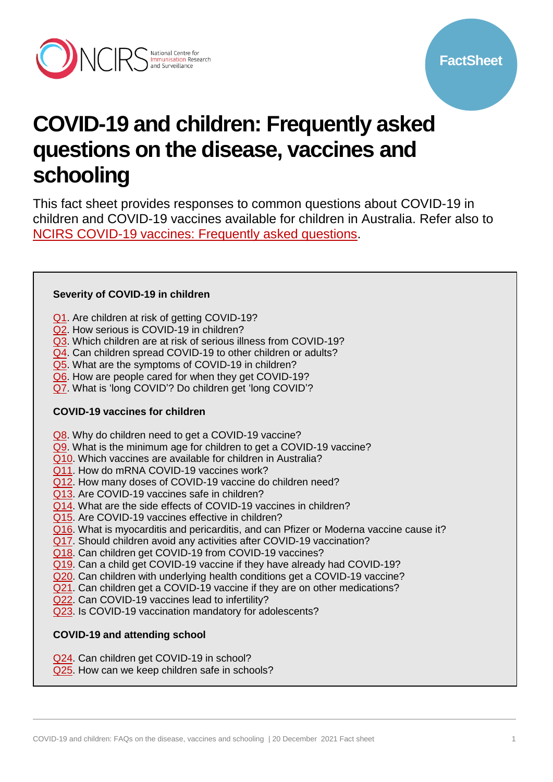

# **COVID-19 and children: Frequently asked questions on the disease, vaccines and schooling**

This fact sheet provides responses to common questions about COVID-19 in children and COVID-19 vaccines available for children in Australia. Refer also to [NCIRS COVID-19 vaccines: Frequently asked questions.](https://www.ncirs.org.au/covid-19/covid-19-vaccines-frequently-asked-questions)

#### **Severity of COVID-19 in children**

- [Q1.](#page-1-0) Are children at risk of getting COVID-19?
- [Q2.](#page-1-1) How serious is COVID-19 in children?
- [Q3.](#page-1-2) Which children are at risk of serious illness from COVID-19?
- [Q4.](#page-1-3) Can children spread COVID-19 to other children or adults?
- [Q5.](#page-1-4) What are the symptoms of COVID-19 in children?
- [Q6.](#page-1-5) How are people cared for when they get COVID-19?
- [Q7.](#page-2-0) What is 'long COVID'? Do children get 'long COVID'?

# **COVID-19 vaccines for children**

- [Q8.](#page-2-1) Why do children need to get a COVID-19 vaccine?
- [Q9.](#page-2-2) What is the minimum age for children to get a COVID-19 vaccine?
- [Q10.](#page-2-3) Which vaccines are available for children in Australia?
- [Q11.](#page-2-4) How do mRNA COVID-19 vaccines work?
- [Q12.](#page-3-0) How many doses of COVID-19 vaccine do children need?
- [Q13.](#page-3-1) Are COVID-19 vaccines safe in children?
- [Q14.](#page-3-2) What are the side effects of COVID-19 vaccines in children?
- [Q15.](#page-3-3) Are COVID-19 vaccines effective in children?
- [Q16.](#page-3-4) What is myocarditis and pericarditis, and can Pfizer or Moderna vaccine cause it?
- [Q17.](#page-4-0) Should children avoid any activities after COVID-19 vaccination?
- [Q18.](#page-4-1) Can children get COVID-19 from COVID-19 vaccines?
- [Q19.](#page-4-2) Can a child get COVID-19 vaccine if they have already had COVID-19?
- [Q20.](#page-4-3) Can children with underlying health conditions get a COVID-19 vaccine?
- [Q21.](#page-4-4) Can children get a COVID-19 vaccine if they are on other medications?
- [Q22.](#page-5-0) Can COVID-19 vaccines lead to infertility?
- [Q23.](#page-5-1) Is COVID-19 vaccination mandatory for adolescents?

# **COVID-19 and attending school**

- [Q24.](#page-5-2) Can children get COVID-19 in school?
- [Q25.](#page-5-3) How can we keep children safe in schools?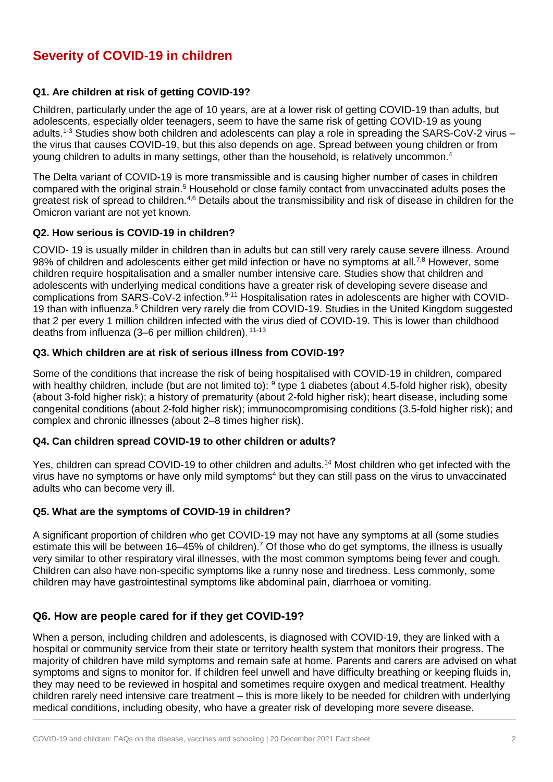# **Severity of COVID-19 in children**

### <span id="page-1-0"></span>**Q1. Are children at risk of getting COVID-19?**

Children, particularly under the age of 10 years, are at a lower risk of getting COVID-19 than adults, but adolescents, especially older teenagers, seem to have the same risk of getting COVID-19 as young adults.1-3 Studies show both children and adolescents can play a role in spreading the SARS-CoV-2 virus – the virus that causes COVID-19, but this also depends on age. Spread between young children or from young children to adults in many settings, other than the household, is relatively uncommon. 4

The Delta variant of COVID-19 is more transmissible and is causing higher number of cases in children compared with the original strain.<sup>5</sup> Household or close family contact from unvaccinated adults poses the greatest risk of spread to children.<sup>4,6</sup> Details about the transmissibility and risk of disease in children for the Omicron variant are not yet known.

#### <span id="page-1-1"></span>**Q2. How serious is COVID-19 in children?**

COVID- 19 is usually milder in children than in adults but can still very rarely cause severe illness. Around 98% of children and adolescents either get mild infection or have no symptoms at all.<sup>7,8</sup> However, some children require hospitalisation and a smaller number intensive care. Studies show that children and adolescents with underlying medical conditions have a greater risk of developing severe disease and complications from SARS-CoV-2 infection.<sup>9-11</sup> Hospitalisation rates in adolescents are higher with COVID-19 than with influenza.<sup>5</sup> Children very rarely die from COVID-19. Studies in the United Kingdom suggested that 2 per every 1 million children infected with the virus died of COVID-19. This is lower than childhood deaths from influenza (3–6 per million children). 11-13

#### <span id="page-1-2"></span>**Q3. Which children are at risk of serious illness from COVID-19?**

Some of the conditions that increase the risk of being hospitalised with COVID-19 in children, compared with healthy children, include (but are not limited to): <sup>9</sup> type 1 diabetes (about 4.5-fold higher risk), obesity (about 3-fold higher risk); a history of prematurity (about 2-fold higher risk); heart disease, including some congenital conditions (about 2-fold higher risk); immunocompromising conditions (3.5-fold higher risk); and complex and chronic illnesses (about 2–8 times higher risk).

#### <span id="page-1-3"></span>**Q4. Can children spread COVID-19 to other children or adults?**

Yes, children can spread COVID-19 to other children and adults.<sup>14</sup> Most children who get infected with the virus have no symptoms or have only mild symptoms<sup>4</sup> but they can still pass on the virus to unvaccinated adults who can become very ill.

#### <span id="page-1-4"></span>**Q5. What are the symptoms of COVID-19 in children?**

A significant proportion of children who get COVID-19 may not have any symptoms at all (some studies estimate this will be between 16–45% of children).<sup>7</sup> Of those who do get symptoms, the illness is usually very similar to other respiratory viral illnesses, with the most common symptoms being fever and cough. Children can also have non-specific symptoms like a runny nose and tiredness. Less commonly, some children may have gastrointestinal symptoms like abdominal pain, diarrhoea or vomiting.

# <span id="page-1-5"></span>**Q6. How are people cared for if they get COVID-19?**

When a person, including children and adolescents, is diagnosed with COVID-19, they are linked with a hospital or community service from their state or territory health system that monitors their progress. The majority of children have mild symptoms and remain safe at home. Parents and carers are advised on what symptoms and signs to monitor for. If children feel unwell and have difficulty breathing or keeping fluids in, they may need to be reviewed in hospital and sometimes require oxygen and medical treatment. Healthy children rarely need intensive care treatment – this is more likely to be needed for children with underlying medical conditions, including obesity, who have a greater risk of developing more severe disease.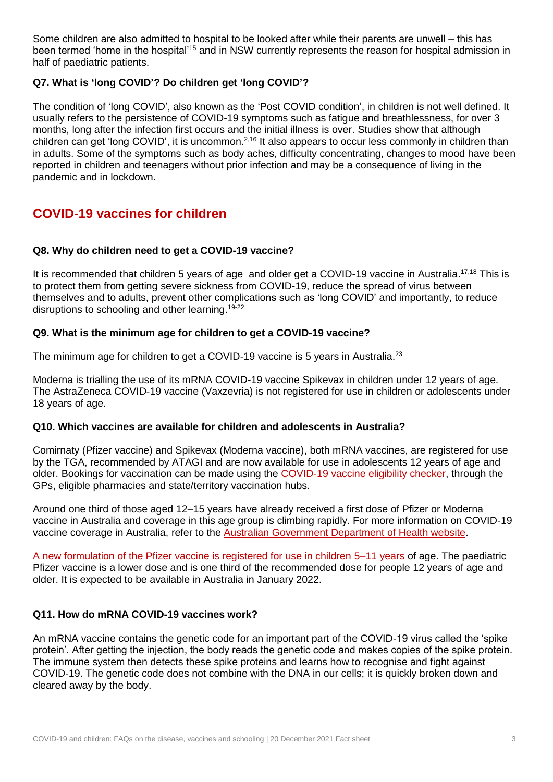Some children are also admitted to hospital to be looked after while their parents are unwell – this has been termed 'home in the hospital'<sup>15</sup> and in NSW currently represents the reason for hospital admission in half of paediatric patients.

# <span id="page-2-0"></span>**Q7. What is 'long COVID'? Do children get 'long COVID'?**

The condition of 'long COVID', also known as the 'Post COVID condition', in children is not well defined. It usually refers to the persistence of COVID-19 symptoms such as fatigue and breathlessness, for over 3 months, long after the infection first occurs and the initial illness is over. Studies show that although children can get 'long COVID', it is uncommon.<sup>2,16</sup> It also appears to occur less commonly in children than in adults. Some of the symptoms such as body aches, difficulty concentrating, changes to mood have been reported in children and teenagers without prior infection and may be a consequence of living in the pandemic and in lockdown.

# **COVID-19 vaccines for children**

### <span id="page-2-1"></span>**Q8. Why do children need to get a COVID-19 vaccine?**

It is recommended that children 5 years of age and older get a COVID-19 vaccine in Australia.<sup>17,18</sup> This is to protect them from getting severe sickness from COVID-19, reduce the spread of virus between themselves and to adults, prevent other complications such as 'long COVID' and importantly, to reduce disruptions to schooling and other learning.<sup>19-22</sup>

### <span id="page-2-2"></span>**Q9. What is the minimum age for children to get a COVID-19 vaccine?**

The minimum age for children to get a COVID-19 vaccine is 5 years in Australia.<sup>23</sup>

Moderna is trialling the use of its mRNA COVID-19 vaccine Spikevax in children under 12 years of age. The AstraZeneca COVID-19 vaccine (Vaxzevria) is not registered for use in children or adolescents under 18 years of age.

#### <span id="page-2-3"></span>**Q10. Which vaccines are available for children and adolescents in Australia?**

Comirnaty (Pfizer vaccine) and Spikevax (Moderna vaccine), both mRNA vaccines, are registered for use by the TGA, recommended by ATAGI and are now available for use in adolescents 12 years of age and older. Bookings for vaccination can be made using the [COVID-19 vaccine eligibility checker,](https://covid-vaccine.healthdirect.gov.au/eligibility?lang=en) through the GPs, eligible pharmacies and state/territory vaccination hubs.

Around one third of those aged 12–15 years have already received a first dose of Pfizer or Moderna vaccine in Australia and coverage in this age group is climbing rapidly. For more information on COVID-19 vaccine coverage in Australia, refer to the [Australian Government Department of Health website.](https://www.health.gov.au/resources/collections/covid-19-vaccination-daily-rollout-update#september-2021)

[A new formulation of the Pfizer vaccine is registered for use in children 5–11 years](https://www.health.gov.au/resources/publications/atagi-recommendations-on-pfizer-covid-19-vaccine-use-in-children-aged-5-to-11-years) of age. The paediatric Pfizer vaccine is a lower dose and is one third of the recommended dose for people 12 years of age and older. It is expected to be available in Australia in January 2022.

# <span id="page-2-4"></span>**Q11. How do mRNA COVID-19 vaccines work?**

An mRNA vaccine contains the genetic code for an important part of the COVID-19 virus called the 'spike protein'. After getting the injection, the body reads the genetic code and makes copies of the spike protein. The immune system then detects these spike proteins and learns how to recognise and fight against COVID-19. The genetic code does not combine with the DNA in our cells; it is quickly broken down and cleared away by the body.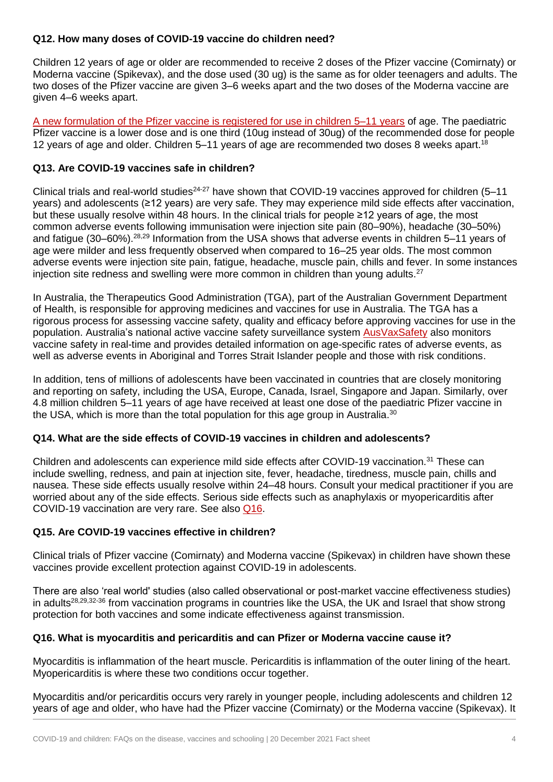### <span id="page-3-0"></span>**Q12. How many doses of COVID-19 vaccine do children need?**

Children 12 years of age or older are recommended to receive 2 doses of the Pfizer vaccine (Comirnaty) or Moderna vaccine (Spikevax), and the dose used (30 ug) is the same as for older teenagers and adults. The two doses of the Pfizer vaccine are given 3–6 weeks apart and the two doses of the Moderna vaccine are given 4–6 weeks apart.

[A new formulation of the Pfizer vaccine is registered for use in children 5–11 years](https://www.health.gov.au/resources/publications/atagi-recommendations-on-pfizer-covid-19-vaccine-use-in-children-aged-5-to-11-years) of age. The paediatric Pfizer vaccine is a lower dose and is one third (10ug instead of 30ug) of the recommended dose for people 12 years of age and older. Children 5–11 years of age are recommended two doses 8 weeks apart. 18

#### <span id="page-3-1"></span>**Q13. Are COVID-19 vaccines safe in children?**

Clinical trials and real-world studies<sup>24-27</sup> have shown that COVID-19 vaccines approved for children (5–11) years) and adolescents (≥12 years) are very safe. They may experience mild side effects after vaccination, but these usually resolve within 48 hours. In the clinical trials for people ≥12 years of age, the most common adverse events following immunisation were injection site pain (80–90%), headache (30–50%) and fatigue (30–60%).28,29 Information from the USA shows that adverse events in children 5–11 years of age were milder and less frequently observed when compared to 16–25 year olds. The most common adverse events were injection site pain, fatigue, headache, muscle pain, chills and fever. In some instances injection site redness and swelling were more common in children than young adults.<sup>27</sup>

In Australia, the Therapeutics Good Administration (TGA), part of the Australian Government Department of Health, is responsible for approving medicines and vaccines for use in Australia. The TGA has a rigorous process for assessing vaccine safety, quality and efficacy before approving vaccines for use in the population. Australia's national active vaccine safety surveillance system [AusVaxSafety](https://www.ausvaxsafety.org.au/) also monitors vaccine safety in real-time and provides detailed information on age-specific rates of adverse events, as well as adverse events in Aboriginal and Torres Strait Islander people and those with risk conditions.

In addition, tens of millions of adolescents have been vaccinated in countries that are closely monitoring and reporting on safety, including the USA, Europe, Canada, Israel, Singapore and Japan. Similarly, over 4.8 million children 5–11 years of age have received at least one dose of the paediatric Pfizer vaccine in the USA, which is more than the total population for this age group in Australia. $^{\rm 30}$ 

#### <span id="page-3-2"></span>**Q14. What are the side effects of COVID-19 vaccines in children and adolescents?**

Children and adolescents can experience mild side effects after COVID-19 vaccination.<sup>31</sup> These can include swelling, redness, and pain at injection site, fever, headache, tiredness, muscle pain, chills and nausea. These side effects usually resolve within 24–48 hours. Consult your medical practitioner if you are worried about any of the side effects. Serious side effects such as anaphylaxis or myopericarditis after COVID-19 vaccination are very rare. See also [Q16.](#page-3-4)

#### <span id="page-3-3"></span>**Q15. Are COVID-19 vaccines effective in children?**

Clinical trials of Pfizer vaccine (Comirnaty) and Moderna vaccine (Spikevax) in children have shown these vaccines provide excellent protection against COVID-19 in adolescents.

There are also 'real world' studies (also called observational or post-market vaccine effectiveness studies) in adults<sup>28,29,32-36</sup> from vaccination programs in countries like the USA, the UK and Israel that show strong protection for both vaccines and some indicate effectiveness against transmission.

#### <span id="page-3-4"></span>**Q16. What is myocarditis and pericarditis and can Pfizer or Moderna vaccine cause it?**

Myocarditis is inflammation of the heart muscle. Pericarditis is inflammation of the outer lining of the heart. Myopericarditis is where these two conditions occur together.

Myocarditis and/or pericarditis occurs very rarely in younger people, including adolescents and children 12 years of age and older, who have had the Pfizer vaccine (Comirnaty) or the Moderna vaccine (Spikevax). It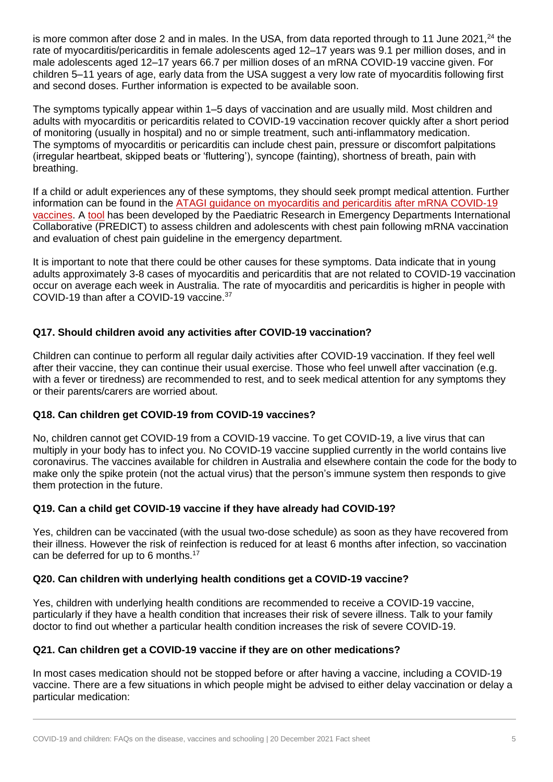is more common after dose 2 and in males. In the USA, from data reported through to 11 June 2021,<sup>24</sup> the rate of myocarditis/pericarditis in female adolescents aged 12–17 years was 9.1 per million doses, and in male adolescents aged 12–17 years 66.7 per million doses of an mRNA COVID-19 vaccine given. For children 5–11 years of age, early data from the USA suggest a very low rate of myocarditis following first and second doses. Further information is expected to be available soon.

The symptoms typically appear within 1–5 days of vaccination and are usually mild. Most children and adults with myocarditis or pericarditis related to COVID-19 vaccination recover quickly after a short period of monitoring (usually in hospital) and no or simple treatment, such anti-inflammatory medication. The symptoms of myocarditis or pericarditis can include chest pain, pressure or discomfort palpitations (irregular heartbeat, skipped beats or 'fluttering'), syncope (fainting), shortness of breath, pain with breathing.

If a child or adult experiences any of these symptoms, they should seek prompt medical attention. Further information can be found in the [ATAGI guidance on myocarditis and pericarditis after mRNA COVID-19](https://www.health.gov.au/resources/publications/covid-19-vaccination-guidance-on-myocarditis-and-pericarditis-after-mrna-covid-19-vaccines)  [vaccines.](https://www.health.gov.au/resources/publications/covid-19-vaccination-guidance-on-myocarditis-and-pericarditis-after-mrna-covid-19-vaccines) A [tool](https://www.predict.org.au/chest-pain-guideline/) has been developed by the Paediatric Research in Emergency Departments International Collaborative (PREDICT) to assess children and adolescents with chest pain following mRNA vaccination and evaluation of chest pain guideline in the emergency department.

It is important to note that there could be other causes for these symptoms. Data indicate that in young adults approximately 3-8 cases of myocarditis and pericarditis that are not related to COVID-19 vaccination occur on average each week in Australia. The rate of myocarditis and pericarditis is higher in people with COVID-19 than after a COVID-19 vaccine.<sup>37</sup>

### <span id="page-4-0"></span>**Q17. Should children avoid any activities after COVID-19 vaccination?**

Children can continue to perform all regular daily activities after COVID-19 vaccination. If they feel well after their vaccine, they can continue their usual exercise. Those who feel unwell after vaccination (e.g. with a fever or tiredness) are recommended to rest, and to seek medical attention for any symptoms they or their parents/carers are worried about.

#### <span id="page-4-1"></span>**Q18. Can children get COVID-19 from COVID-19 vaccines?**

No, children cannot get COVID-19 from a COVID-19 vaccine. To get COVID-19, a live virus that can multiply in your body has to infect you. No COVID-19 vaccine supplied currently in the world contains live coronavirus. The vaccines available for children in Australia and elsewhere contain the code for the body to make only the spike protein (not the actual virus) that the person's immune system then responds to give them protection in the future.

#### <span id="page-4-2"></span>**Q19. Can a child get COVID-19 vaccine if they have already had COVID-19?**

Yes, children can be vaccinated (with the usual two-dose schedule) as soon as they have recovered from their illness. However the risk of reinfection is reduced for at least 6 months after infection, so vaccination can be deferred for up to 6 months.<sup>17</sup>

#### <span id="page-4-3"></span>**Q20. Can children with underlying health conditions get a COVID-19 vaccine?**

Yes, children with underlying health conditions are recommended to receive a COVID-19 vaccine, particularly if they have a health condition that increases their risk of severe illness. Talk to your family doctor to find out whether a particular health condition increases the risk of severe COVID-19.

# <span id="page-4-4"></span>**Q21. Can children get a COVID-19 vaccine if they are on other medications?**

In most cases medication should not be stopped before or after having a vaccine, including a COVID-19 vaccine. There are a few situations in which people might be advised to either delay vaccination or delay a particular medication: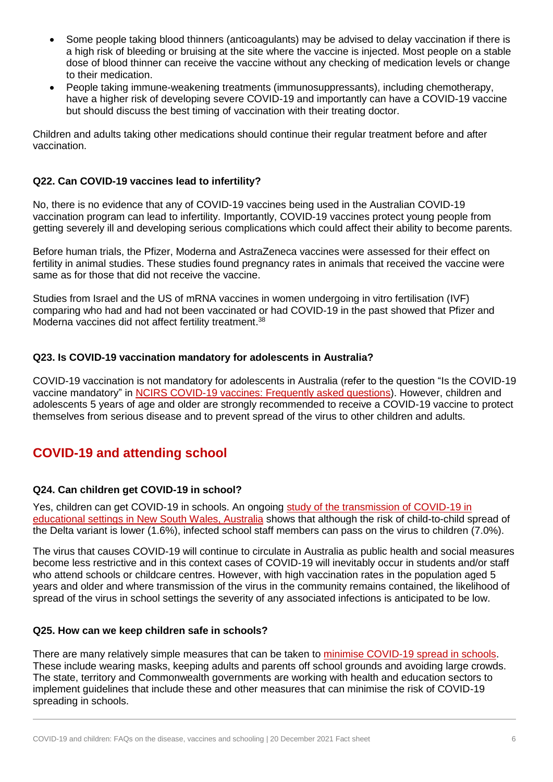- Some people taking blood thinners (anticoagulants) may be advised to delay vaccination if there is a high risk of bleeding or bruising at the site where the vaccine is injected. Most people on a stable dose of blood thinner can receive the vaccine without any checking of medication levels or change to their medication.
- People taking immune-weakening treatments (immunosuppressants), including chemotherapy, have a higher risk of developing severe COVID-19 and importantly can have a COVID-19 vaccine but should discuss the best timing of vaccination with their treating doctor.

Children and adults taking other medications should continue their regular treatment before and after vaccination.

### <span id="page-5-0"></span>**Q22. Can COVID-19 vaccines lead to infertility?**

No, there is no evidence that any of COVID-19 vaccines being used in the Australian COVID-19 vaccination program can lead to infertility. Importantly, COVID-19 vaccines protect young people from getting severely ill and developing serious complications which could affect their ability to become parents.

Before human trials, the Pfizer, Moderna and AstraZeneca vaccines were assessed for their effect on fertility in animal studies. These studies found pregnancy rates in animals that received the vaccine were same as for those that did not receive the vaccine.

Studies from Israel and the US of mRNA vaccines in women undergoing in vitro fertilisation (IVF) comparing who had and had not been vaccinated or had COVID-19 in the past showed that Pfizer and Moderna vaccines did not affect fertility treatment.<sup>38</sup>

### <span id="page-5-1"></span>**Q23. Is COVID-19 vaccination mandatory for adolescents in Australia?**

COVID-19 vaccination is not mandatory for adolescents in Australia (refer to the question "Is the COVID-19 vaccine mandatory" in [NCIRS COVID-19 vaccines: Frequently asked questions\)](https://www.ncirs.org.au/covid-19/covid-19-vaccines-frequently-asked-questions). However, children and adolescents 5 years of age and older are strongly recommended to receive a COVID-19 vaccine to protect themselves from serious disease and to prevent spread of the virus to other children and adults.

# **COVID-19 and attending school**

# <span id="page-5-2"></span>**Q24. Can children get COVID-19 in school?**

Yes, children can get COVID-19 in schools. An ongoing [study of the transmission of COVID-19 in](https://www.ncirs.org.au/covid-19-in-schools)  [educational settings in New South Wales, Australia](https://www.ncirs.org.au/covid-19-in-schools) shows that although the risk of child-to-child spread of the Delta variant is lower (1.6%), infected school staff members can pass on the virus to children (7.0%).

The virus that causes COVID-19 will continue to circulate in Australia as public health and social measures become less restrictive and in this context cases of COVID-19 will inevitably occur in students and/or staff who attend schools or childcare centres. However, with high vaccination rates in the population aged 5 years and older and where transmission of the virus in the community remains contained, the likelihood of spread of the virus in school settings the severity of any associated infections is anticipated to be low.

#### <span id="page-5-3"></span>**Q25. How can we keep children safe in schools?**

There are many relatively simple measures that can be taken to [minimise COVID-19 spread in schools.](https://education.nsw.gov.au/covid-19/advice-for-families#Roadmap0) These include wearing masks, keeping adults and parents off school grounds and avoiding large crowds. The state, territory and Commonwealth governments are working with health and education sectors to implement guidelines that include these and other measures that can minimise the risk of COVID-19 spreading in schools.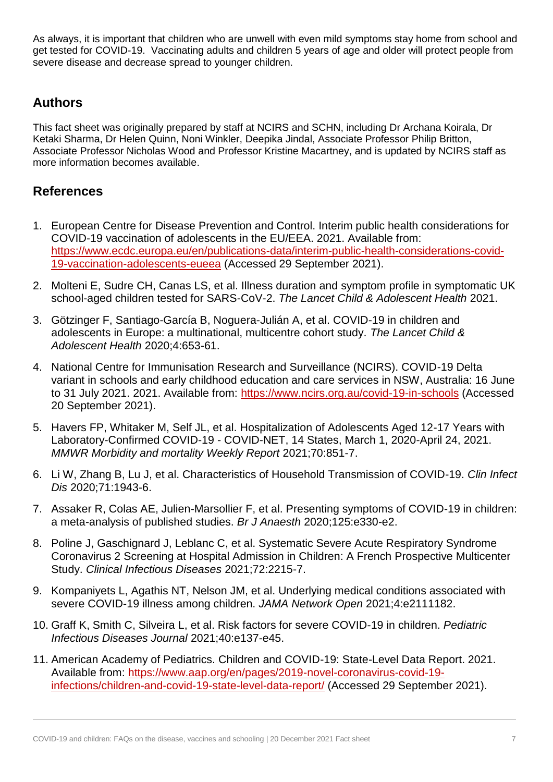As always, it is important that children who are unwell with even mild symptoms stay home from school and get tested for COVID-19. Vaccinating adults and children 5 years of age and older will protect people from severe disease and decrease spread to younger children.

# **Authors**

This fact sheet was originally prepared by staff at NCIRS and SCHN, including Dr Archana Koirala, Dr Ketaki Sharma, Dr Helen Quinn, Noni Winkler, Deepika Jindal, Associate Professor Philip Britton, Associate Professor Nicholas Wood and Professor Kristine Macartney, and is updated by NCIRS staff as more information becomes available.

# **References**

- 1. European Centre for Disease Prevention and Control. Interim public health considerations for COVID-19 vaccination of adolescents in the EU/EEA. 2021. Available from: [https://www.ecdc.europa.eu/en/publications-data/interim-public-health-considerations-covid-](https://www.ecdc.europa.eu/en/publications-data/interim-public-health-considerations-covid-19-vaccination-adolescents-eueea)[19-vaccination-adolescents-eueea](https://www.ecdc.europa.eu/en/publications-data/interim-public-health-considerations-covid-19-vaccination-adolescents-eueea) (Accessed 29 September 2021).
- 2. Molteni E, Sudre CH, Canas LS, et al. Illness duration and symptom profile in symptomatic UK school-aged children tested for SARS-CoV-2. *The Lancet Child & Adolescent Health* 2021.
- 3. Götzinger F, Santiago-García B, Noguera-Julián A, et al. COVID-19 in children and adolescents in Europe: a multinational, multicentre cohort study. *The Lancet Child & Adolescent Health* 2020;4:653-61.
- 4. National Centre for Immunisation Research and Surveillance (NCIRS). COVID-19 Delta variant in schools and early childhood education and care services in NSW, Australia: 16 June to 31 July 2021. 2021. Available from:<https://www.ncirs.org.au/covid-19-in-schools> (Accessed 20 September 2021).
- 5. Havers FP, Whitaker M, Self JL, et al. Hospitalization of Adolescents Aged 12-17 Years with Laboratory-Confirmed COVID-19 - COVID-NET, 14 States, March 1, 2020-April 24, 2021. *MMWR Morbidity and mortality Weekly Report* 2021;70:851-7.
- 6. Li W, Zhang B, Lu J, et al. Characteristics of Household Transmission of COVID-19. *Clin Infect Dis* 2020;71:1943-6.
- 7. Assaker R, Colas AE, Julien-Marsollier F, et al. Presenting symptoms of COVID-19 in children: a meta-analysis of published studies. *Br J Anaesth* 2020;125:e330-e2.
- 8. Poline J, Gaschignard J, Leblanc C, et al. Systematic Severe Acute Respiratory Syndrome Coronavirus 2 Screening at Hospital Admission in Children: A French Prospective Multicenter Study. *Clinical Infectious Diseases* 2021;72:2215-7.
- 9. Kompaniyets L, Agathis NT, Nelson JM, et al. Underlying medical conditions associated with severe COVID-19 illness among children. *JAMA Network Open* 2021;4:e2111182.
- 10. Graff K, Smith C, Silveira L, et al. Risk factors for severe COVID-19 in children. *Pediatric Infectious Diseases Journal* 2021;40:e137-e45.
- 11. American Academy of Pediatrics. Children and COVID-19: State-Level Data Report. 2021. Available from: [https://www.aap.org/en/pages/2019-novel-coronavirus-covid-19](https://www.aap.org/en/pages/2019-novel-coronavirus-covid-19-infections/children-and-covid-19-state-level-data-report/) [infections/children-and-covid-19-state-level-data-report/](https://www.aap.org/en/pages/2019-novel-coronavirus-covid-19-infections/children-and-covid-19-state-level-data-report/) (Accessed 29 September 2021).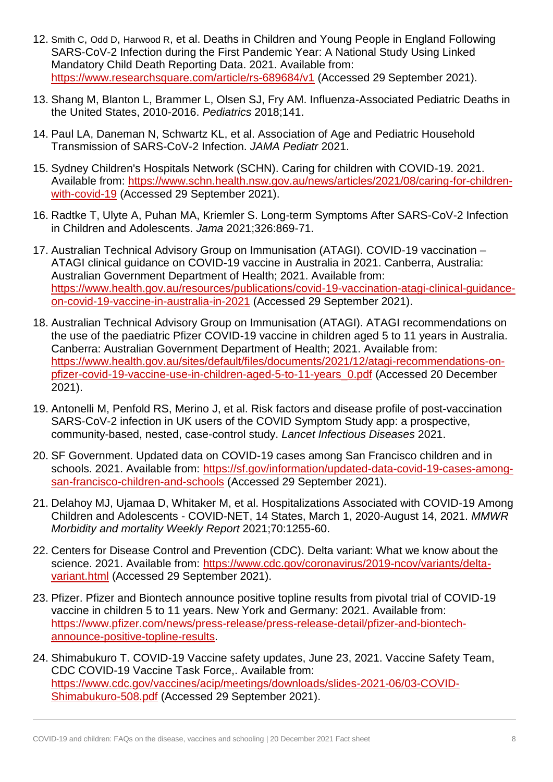- 12. Smith C, Odd D, Harwood R, et al. Deaths in Children and Young People in England Following SARS-CoV-2 Infection during the First Pandemic Year: A National Study Using Linked Mandatory Child Death Reporting Data. 2021. Available from: <https://www.researchsquare.com/article/rs-689684/v1> (Accessed 29 September 2021).
- 13. Shang M, Blanton L, Brammer L, Olsen SJ, Fry AM. Influenza-Associated Pediatric Deaths in the United States, 2010-2016. *Pediatrics* 2018;141.
- 14. Paul LA, Daneman N, Schwartz KL, et al. Association of Age and Pediatric Household Transmission of SARS-CoV-2 Infection. *JAMA Pediatr* 2021.
- 15. Sydney Children's Hospitals Network (SCHN). Caring for children with COVID-19. 2021. Available from: [https://www.schn.health.nsw.gov.au/news/articles/2021/08/caring-for-children](https://www.schn.health.nsw.gov.au/news/articles/2021/08/caring-for-children-with-covid-19)[with-covid-19](https://www.schn.health.nsw.gov.au/news/articles/2021/08/caring-for-children-with-covid-19) (Accessed 29 September 2021).
- 16. Radtke T, Ulyte A, Puhan MA, Kriemler S. Long-term Symptoms After SARS-CoV-2 Infection in Children and Adolescents. *Jama* 2021;326:869-71.
- 17. Australian Technical Advisory Group on Immunisation (ATAGI). COVID-19 vaccination ATAGI clinical guidance on COVID-19 vaccine in Australia in 2021. Canberra, Australia: Australian Government Department of Health; 2021. Available from: [https://www.health.gov.au/resources/publications/covid-19-vaccination-atagi-clinical-guidance](https://www.health.gov.au/resources/publications/covid-19-vaccination-atagi-clinical-guidance-on-covid-19-vaccine-in-australia-in-2021)[on-covid-19-vaccine-in-australia-in-2021](https://www.health.gov.au/resources/publications/covid-19-vaccination-atagi-clinical-guidance-on-covid-19-vaccine-in-australia-in-2021) (Accessed 29 September 2021).
- 18. Australian Technical Advisory Group on Immunisation (ATAGI). ATAGI recommendations on the use of the paediatric Pfizer COVID-19 vaccine in children aged 5 to 11 years in Australia. Canberra: Australian Government Department of Health; 2021. Available from: [https://www.health.gov.au/sites/default/files/documents/2021/12/atagi-recommendations-on](https://www.health.gov.au/sites/default/files/documents/2021/12/atagi-recommendations-on-pfizer-covid-19-vaccine-use-in-children-aged-5-to-11-years_0.pdf)[pfizer-covid-19-vaccine-use-in-children-aged-5-to-11-years\\_0.pdf](https://www.health.gov.au/sites/default/files/documents/2021/12/atagi-recommendations-on-pfizer-covid-19-vaccine-use-in-children-aged-5-to-11-years_0.pdf) (Accessed 20 December 2021).
- 19. Antonelli M, Penfold RS, Merino J, et al. Risk factors and disease profile of post-vaccination SARS-CoV-2 infection in UK users of the COVID Symptom Study app: a prospective, community-based, nested, case-control study. *Lancet Infectious Diseases* 2021.
- 20. SF Government. Updated data on COVID-19 cases among San Francisco children and in schools. 2021. Available from: [https://sf.gov/information/updated-data-covid-19-cases-among](https://sf.gov/information/updated-data-covid-19-cases-among-san-francisco-children-and-schools)[san-francisco-children-and-schools](https://sf.gov/information/updated-data-covid-19-cases-among-san-francisco-children-and-schools) (Accessed 29 September 2021).
- 21. Delahoy MJ, Ujamaa D, Whitaker M, et al. Hospitalizations Associated with COVID-19 Among Children and Adolescents - COVID-NET, 14 States, March 1, 2020-August 14, 2021. *MMWR Morbidity and mortality Weekly Report* 2021;70:1255-60.
- 22. Centers for Disease Control and Prevention (CDC). Delta variant: What we know about the science. 2021. Available from: [https://www.cdc.gov/coronavirus/2019-ncov/variants/delta](https://www.cdc.gov/coronavirus/2019-ncov/variants/delta-variant.html)[variant.html](https://www.cdc.gov/coronavirus/2019-ncov/variants/delta-variant.html) (Accessed 29 September 2021).
- 23. Pfizer. Pfizer and Biontech announce positive topline results from pivotal trial of COVID-19 vaccine in children 5 to 11 years. New York and Germany: 2021. Available from: [https://www.pfizer.com/news/press-release/press-release-detail/pfizer-and-biontech](https://www.pfizer.com/news/press-release/press-release-detail/pfizer-and-biontech-announce-positive-topline-results)[announce-positive-topline-results.](https://www.pfizer.com/news/press-release/press-release-detail/pfizer-and-biontech-announce-positive-topline-results)
- 24. Shimabukuro T. COVID-19 Vaccine safety updates, June 23, 2021. Vaccine Safety Team, CDC COVID-19 Vaccine Task Force,. Available from: [https://www.cdc.gov/vaccines/acip/meetings/downloads/slides-2021-06/03-COVID-](https://www.cdc.gov/vaccines/acip/meetings/downloads/slides-2021-06/03-COVID-Shimabukuro-508.pdf)[Shimabukuro-508.pdf](https://www.cdc.gov/vaccines/acip/meetings/downloads/slides-2021-06/03-COVID-Shimabukuro-508.pdf) (Accessed 29 September 2021).